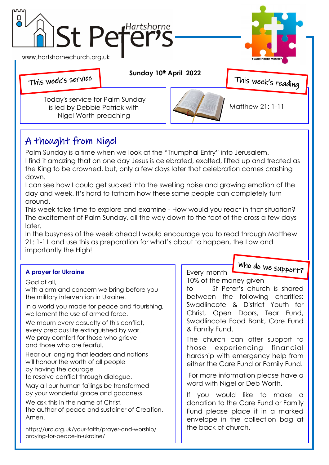

## A thought from Nigel

Palm Sunday is a time when we look at the "Triumphal Entry" into Jerusalem. I find it amazing that on one day Jesus is celebrated, exalted, lifted up and treated as the King to be crowned, but, only a few days later that celebration comes crashing down.

I can see how I could get sucked into the swelling noise and growing emotion of the day and week. It's hard to fathom how these same people can completely turn around.

This week take time to explore and examine - How would you react in that situation? The excitement of Palm Sunday, all the way down to the foot of the cross a few days later.

In the busyness of the week ahead I would encourage you to read through Matthew 21: 1-11 and use this as preparation for what's about to happen, the Low and importantly the High!

|                                                                                                                                                                                                                                                                                                                                                                                                       | Who do we support?                                                                                                                                                                                                                                                                             |
|-------------------------------------------------------------------------------------------------------------------------------------------------------------------------------------------------------------------------------------------------------------------------------------------------------------------------------------------------------------------------------------------------------|------------------------------------------------------------------------------------------------------------------------------------------------------------------------------------------------------------------------------------------------------------------------------------------------|
| <b>A prayer for Ukraine</b>                                                                                                                                                                                                                                                                                                                                                                           | Every month                                                                                                                                                                                                                                                                                    |
| God of all,<br>with alarm and concern we bring before you<br>the military intervention in Ukraine.<br>In a world you made for peace and flourishing,<br>we lament the use of armed force.<br>We mourn every casualty of this conflict,<br>every precious life extinguished by war.<br>We pray comfort for those who grieve<br>and those who are fearful.<br>Hear our longing that leaders and nations | 10% of the money given<br>St Peter's church is shared<br>to<br>between the following charities:<br>Swadlincote & District Youth for<br>Christ, Open Doors, Tear Fund,<br>Swadlincote Food Bank, Care Fund<br>& Family Fund.<br>The church can offer support to<br>those experiencing financial |
| will honour the worth of all people<br>by having the courage<br>to resolve conflict through dialogue.<br>May all our human failings be transformed<br>by your wonderful grace and goodness.<br>We ask this in the name of Christ,<br>the author of peace and sustainer of Creation.<br>Amen.<br>https://urc.org.uk/your-faith/prayer-and-worship/<br>praying-for-peace-in-ukraine/                    | hardship with emergency help from<br>either the Care Fund or Family Fund.<br>For more information please have a<br>word with Nigel or Deb Worth.                                                                                                                                               |
|                                                                                                                                                                                                                                                                                                                                                                                                       | you would like to make a<br>If<br>donation to the Care Fund or Family<br>Fund please place it in a marked<br>envelope in the collection bag at<br>the back of church.                                                                                                                          |